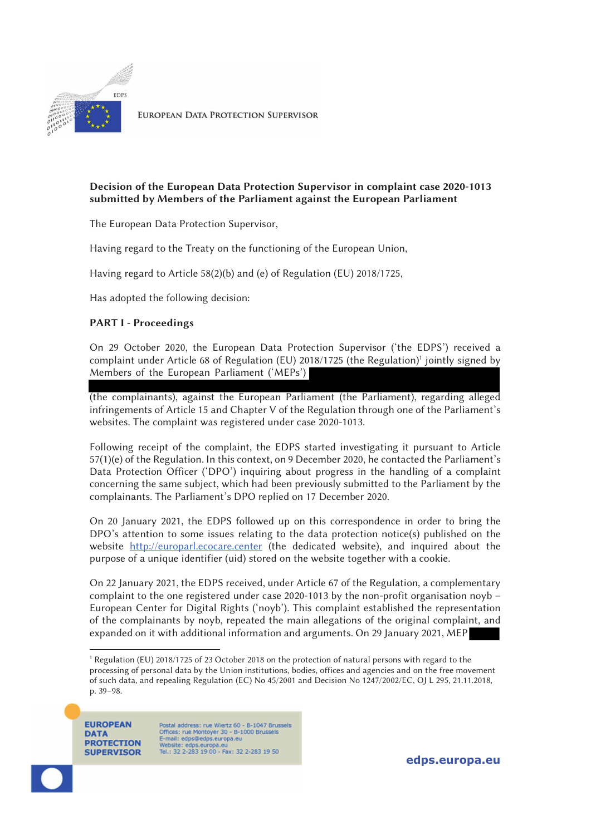

**EUROPEAN DATA PROTECTION SUPERVISOR** 

# Decision of the European Data Protection Supervisor in complaint case 2020-1013 submitted by Members of the Parliament against the European Parliament

The European Data Protection Supervisor,

Having regard to the Treaty on the functioning of the European Union,

Having regard to Article 58(2)(b) and (e) of Regulation (EU) 2018/1725,

Has adopted the following decision:

# PART I - Proceedings

On 29 October 2020, the European Data Protection Supervisor ('the EDPS') received a complaint under Article 68 of Regulation (EU) 2018/1725 (the Regulation)<sup>1</sup> jointly signed by Members of the European Parliament ('MEPs')

(the complainants), against the European Parliament (the Parliament), regarding alleged infringements of Article 15 and Chapter V of the Regulation through one of the Parliament's websites. The complaint was registered under case 2020-1013.

Following receipt of the complaint, the EDPS started investigating it pursuant to Article 57(1)(e) of the Regulation. In this context, on 9 December 2020, he contacted the Parliament's Data Protection Officer ('DPO') inquiring about progress in the handling of a complaint concerning the same subject, which had been previously submitted to the Parliament by the complainants. The Parliament's DPO replied on 17 December 2020.

On 20 January 2021, the EDPS followed up on this correspondence in order to bring the DPO's attention to some issues relating to the data protection notice(s) published on the website http://europarl.ecocare.center (the dedicated website), and inquired about the purpose of a unique identifier (uid) stored on the website together with a cookie.

On 22 January 2021, the EDPS received, under Article 67 of the Regulation, a complementary complaint to the one registered under case 2020-1013 by the non-profit organisation noyb – European Center for Digital Rights ('noyb'). This complaint established the representation of the complainants by noyb, repeated the main allegations of the original complaint, and expanded on it with additional information and arguments. On 29 January 2021, MEP

**EUROPEAN DATA PROTECTION SUPERVISOR** 

Postal address: rue Wiertz 60 - B-1047 Brussels Offices: rue Montoyer 30 - B-1000 Brussels<br>E-mail: edps@edps.europa.eu Website: edps.europa.eu<br>Tel.: 32 2-283 19 00 - Fax: 32 2-283 19 50

edps.europa.eu

j 1 Regulation (EU) 2018/1725 of 23 October 2018 on the protection of natural persons with regard to the processing of personal data by the Union institutions, bodies, offices and agencies and on the free movement of such data, and repealing Regulation (EC) No 45/2001 and Decision No 1247/2002/EC, OJ L 295, 21.11.2018, p. 39–98.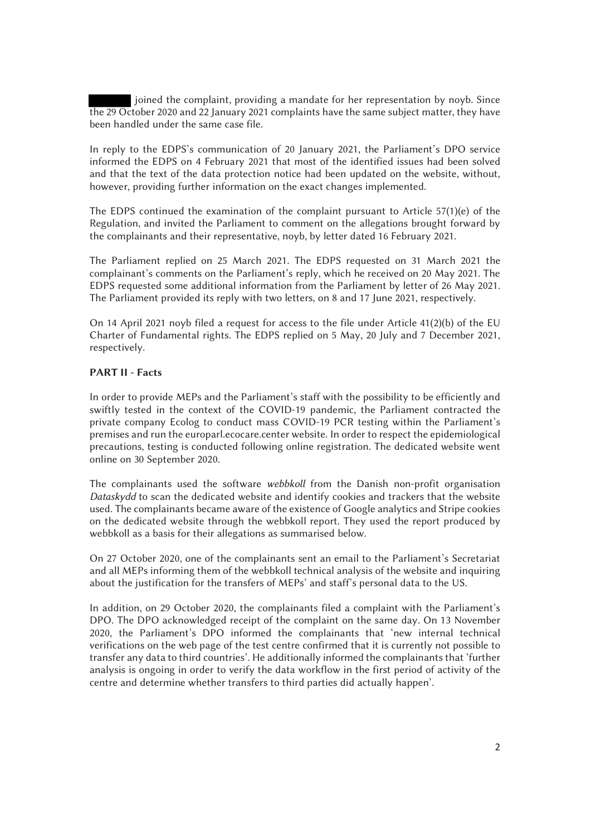joined the complaint, providing a mandate for her representation by noyb. Since the 29 October 2020 and 22 January 2021 complaints have the same subject matter, they have been handled under the same case file.

In reply to the EDPS's communication of 20 January 2021, the Parliament's DPO service informed the EDPS on 4 February 2021 that most of the identified issues had been solved and that the text of the data protection notice had been updated on the website, without, however, providing further information on the exact changes implemented.

The EDPS continued the examination of the complaint pursuant to Article 57(1)(e) of the Regulation, and invited the Parliament to comment on the allegations brought forward by the complainants and their representative, noyb, by letter dated 16 February 2021.

The Parliament replied on 25 March 2021. The EDPS requested on 31 March 2021 the complainant's comments on the Parliament's reply, which he received on 20 May 2021. The EDPS requested some additional information from the Parliament by letter of 26 May 2021. The Parliament provided its reply with two letters, on 8 and 17 June 2021, respectively.

On 14 April 2021 noyb filed a request for access to the file under Article 41(2)(b) of the EU Charter of Fundamental rights. The EDPS replied on 5 May, 20 July and 7 December 2021, respectively.

### PART II - Facts

In order to provide MEPs and the Parliament's staff with the possibility to be efficiently and swiftly tested in the context of the COVID-19 pandemic, the Parliament contracted the private company Ecolog to conduct mass COVID-19 PCR testing within the Parliament's premises and run the europarl.ecocare.center website. In order to respect the epidemiological precautions, testing is conducted following online registration. The dedicated website went online on 30 September 2020.

The complainants used the software *webbkoll* from the Danish non-profit organisation *Dataskydd* to scan the dedicated website and identify cookies and trackers that the website used. The complainants became aware of the existence of Google analytics and Stripe cookies on the dedicated website through the webbkoll report. They used the report produced by webbkoll as a basis for their allegations as summarised below.

On 27 October 2020, one of the complainants sent an email to the Parliament's Secretariat and all MEPs informing them of the webbkoll technical analysis of the website and inquiring about the justification for the transfers of MEPs' and staff's personal data to the US.

In addition, on 29 October 2020, the complainants filed a complaint with the Parliament's DPO. The DPO acknowledged receipt of the complaint on the same day. On 13 November 2020, the Parliament's DPO informed the complainants that 'new internal technical verifications on the web page of the test centre confirmed that it is currently not possible to transfer any data to third countries'. He additionally informed the complainants that 'further analysis is ongoing in order to verify the data workflow in the first period of activity of the centre and determine whether transfers to third parties did actually happen'.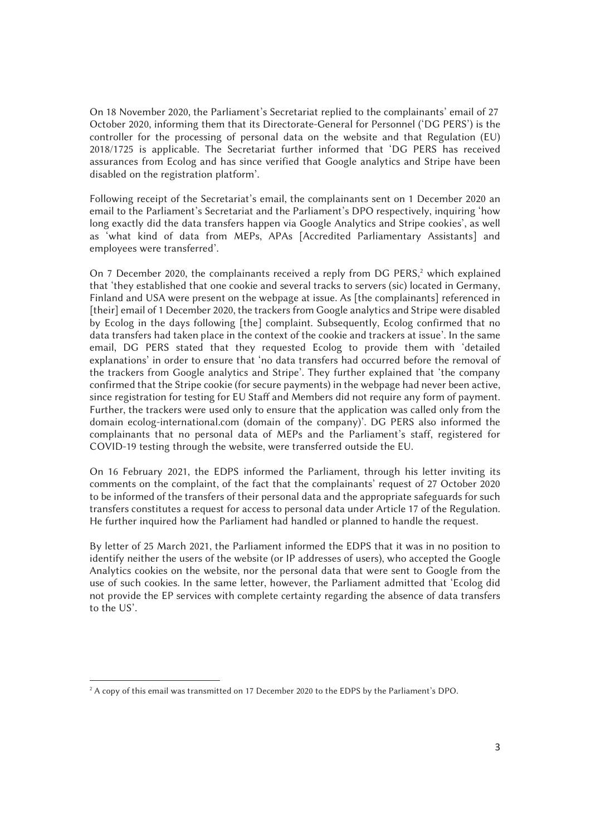On 18 November 2020, the Parliament's Secretariat replied to the complainants' email of 27 October 2020, informing them that its Directorate-General for Personnel ('DG PERS') is the controller for the processing of personal data on the website and that Regulation (EU) 2018/1725 is applicable. The Secretariat further informed that 'DG PERS has received assurances from Ecolog and has since verified that Google analytics and Stripe have been disabled on the registration platform'.

Following receipt of the Secretariat's email, the complainants sent on 1 December 2020 an email to the Parliament's Secretariat and the Parliament's DPO respectively, inquiring 'how long exactly did the data transfers happen via Google Analytics and Stripe cookies', as well as 'what kind of data from MEPs, APAs [Accredited Parliamentary Assistants] and employees were transferred'.

On 7 December 2020, the complainants received a reply from DG PERS,<sup>2</sup> which explained that 'they established that one cookie and several tracks to servers (sic) located in Germany, Finland and USA were present on the webpage at issue. As [the complainants] referenced in [their] email of 1 December 2020, the trackers from Google analytics and Stripe were disabled by Ecolog in the days following [the] complaint. Subsequently, Ecolog confirmed that no data transfers had taken place in the context of the cookie and trackers at issue'. In the same email, DG PERS stated that they requested Ecolog to provide them with 'detailed explanations' in order to ensure that 'no data transfers had occurred before the removal of the trackers from Google analytics and Stripe'. They further explained that 'the company confirmed that the Stripe cookie (for secure payments) in the webpage had never been active, since registration for testing for EU Staff and Members did not require any form of payment. Further, the trackers were used only to ensure that the application was called only from the domain ecolog-international.com (domain of the company)'. DG PERS also informed the complainants that no personal data of MEPs and the Parliament's staff, registered for COVID-19 testing through the website, were transferred outside the EU.

On 16 February 2021, the EDPS informed the Parliament, through his letter inviting its comments on the complaint, of the fact that the complainants' request of 27 October 2020 to be informed of the transfers of their personal data and the appropriate safeguards for such transfers constitutes a request for access to personal data under Article 17 of the Regulation. He further inquired how the Parliament had handled or planned to handle the request.

By letter of 25 March 2021, the Parliament informed the EDPS that it was in no position to identify neither the users of the website (or IP addresses of users), who accepted the Google Analytics cookies on the website, nor the personal data that were sent to Google from the use of such cookies. In the same letter, however, the Parliament admitted that 'Ecolog did not provide the EP services with complete certainty regarding the absence of data transfers to the US'.

<sup>2</sup> A copy of this email was transmitted on 17 December 2020 to the EDPS by the Parliament's DPO.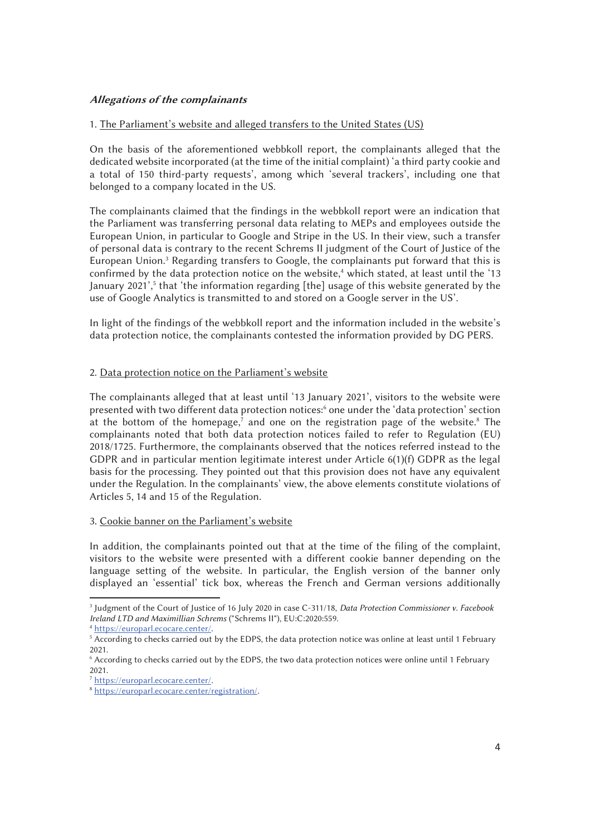# Allegations of the complainants

## 1. The Parliament's website and alleged transfers to the United States (US)

On the basis of the aforementioned webbkoll report, the complainants alleged that the dedicated website incorporated (at the time of the initial complaint) 'a third party cookie and a total of 150 third-party requests', among which 'several trackers', including one that belonged to a company located in the US.

The complainants claimed that the findings in the webbkoll report were an indication that the Parliament was transferring personal data relating to MEPs and employees outside the European Union, in particular to Google and Stripe in the US. In their view, such a transfer of personal data is contrary to the recent Schrems II judgment of the Court of Justice of the European Union.<sup>3</sup> Regarding transfers to Google, the complainants put forward that this is confirmed by the data protection notice on the website,<sup>4</sup> which stated, at least until the '13 January 2021',<sup>5</sup> that 'the information regarding [the] usage of this website generated by the use of Google Analytics is transmitted to and stored on a Google server in the US'.

In light of the findings of the webbkoll report and the information included in the website's data protection notice, the complainants contested the information provided by DG PERS.

## 2. Data protection notice on the Parliament's website

The complainants alleged that at least until '13 January 2021', visitors to the website were presented with two different data protection notices:<sup>6</sup> one under the 'data protection' section at the bottom of the homepage,<sup>7</sup> and one on the registration page of the website.<sup>8</sup> The complainants noted that both data protection notices failed to refer to Regulation (EU) 2018/1725. Furthermore, the complainants observed that the notices referred instead to the GDPR and in particular mention legitimate interest under Article 6(1)(f) GDPR as the legal basis for the processing. They pointed out that this provision does not have any equivalent under the Regulation. In the complainants' view, the above elements constitute violations of Articles 5, 14 and 15 of the Regulation.

#### 3. Cookie banner on the Parliament's website

In addition, the complainants pointed out that at the time of the filing of the complaint, visitors to the website were presented with a different cookie banner depending on the language setting of the website. In particular, the English version of the banner only displayed an 'essential' tick box, whereas the French and German versions additionally

j

<sup>3</sup> Judgment of the Court of Justice of 16 July 2020 in case C-311/18, *Data Protection Commissioner v. Facebook Ireland LTD and Maximillian Schrems* ("Schrems II"), EU:C:2020:559.<br><sup>4</sup> https://europarl.ecocare.center/.

<sup>&</sup>lt;sup>5</sup> According to checks carried out by the EDPS, the data protection notice was online at least until 1 February 2021.

<sup>6</sup> According to checks carried out by the EDPS, the two data protection notices were online until 1 February 2021.<br> $\frac{7 \text{ https://europarl.ecocare.center/}}{7 \text{ https://europarl.ecocare.center/}}$ .

<sup>&</sup>lt;sup>8</sup> https://europarl.ecocare.center/registration/.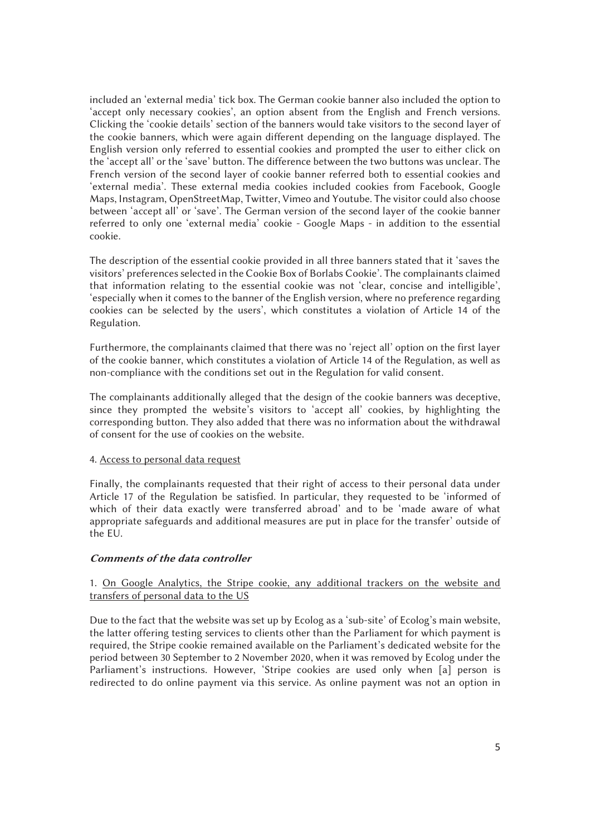included an 'external media' tick box. The German cookie banner also included the option to 'accept only necessary cookies', an option absent from the English and French versions. Clicking the 'cookie details' section of the banners would take visitors to the second layer of the cookie banners, which were again different depending on the language displayed. The English version only referred to essential cookies and prompted the user to either click on the 'accept all' or the 'save' button. The difference between the two buttons was unclear. The French version of the second layer of cookie banner referred both to essential cookies and 'external media'. These external media cookies included cookies from Facebook, Google Maps, Instagram, OpenStreetMap, Twitter, Vimeo and Youtube. The visitor could also choose between 'accept all' or 'save'. The German version of the second layer of the cookie banner referred to only one 'external media' cookie - Google Maps - in addition to the essential cookie.

The description of the essential cookie provided in all three banners stated that it 'saves the visitors' preferences selected in the Cookie Box of Borlabs Cookie'. The complainants claimed that information relating to the essential cookie was not 'clear, concise and intelligible', 'especially when it comes to the banner of the English version, where no preference regarding cookies can be selected by the users', which constitutes a violation of Article 14 of the Regulation.

Furthermore, the complainants claimed that there was no 'reject all' option on the first layer of the cookie banner, which constitutes a violation of Article 14 of the Regulation, as well as non-compliance with the conditions set out in the Regulation for valid consent.

The complainants additionally alleged that the design of the cookie banners was deceptive, since they prompted the website's visitors to 'accept all' cookies, by highlighting the corresponding button. They also added that there was no information about the withdrawal of consent for the use of cookies on the website.

#### 4. Access to personal data request

Finally, the complainants requested that their right of access to their personal data under Article 17 of the Regulation be satisfied. In particular, they requested to be 'informed of which of their data exactly were transferred abroad' and to be 'made aware of what appropriate safeguards and additional measures are put in place for the transfer' outside of the EU.

## Comments of the data controller

# 1. On Google Analytics, the Stripe cookie, any additional trackers on the website and transfers of personal data to the US

Due to the fact that the website was set up by Ecolog as a 'sub-site' of Ecolog's main website, the latter offering testing services to clients other than the Parliament for which payment is required, the Stripe cookie remained available on the Parliament's dedicated website for the period between 30 September to 2 November 2020, when it was removed by Ecolog under the Parliament's instructions. However, 'Stripe cookies are used only when [a] person is redirected to do online payment via this service. As online payment was not an option in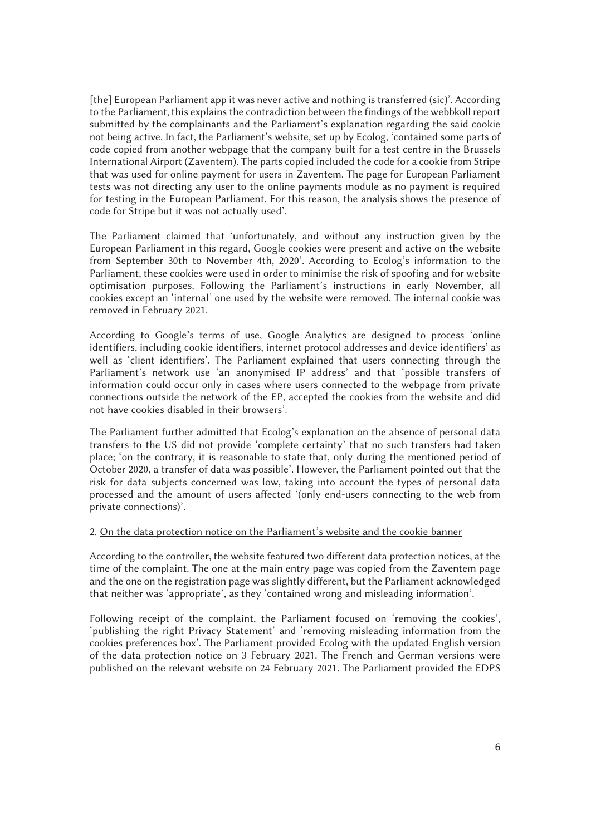[the] European Parliament app it was never active and nothing is transferred (sic)'. According to the Parliament, this explains the contradiction between the findings of the webbkoll report submitted by the complainants and the Parliament's explanation regarding the said cookie not being active. In fact, the Parliament's website, set up by Ecolog, 'contained some parts of code copied from another webpage that the company built for a test centre in the Brussels International Airport (Zaventem). The parts copied included the code for a cookie from Stripe that was used for online payment for users in Zaventem. The page for European Parliament tests was not directing any user to the online payments module as no payment is required for testing in the European Parliament. For this reason, the analysis shows the presence of code for Stripe but it was not actually used'.

The Parliament claimed that 'unfortunately, and without any instruction given by the European Parliament in this regard, Google cookies were present and active on the website from September 30th to November 4th, 2020'. According to Ecolog's information to the Parliament, these cookies were used in order to minimise the risk of spoofing and for website optimisation purposes. Following the Parliament's instructions in early November, all cookies except an 'internal' one used by the website were removed. The internal cookie was removed in February 2021.

According to Google's terms of use, Google Analytics are designed to process 'online identifiers, including cookie identifiers, internet protocol addresses and device identifiers' as well as 'client identifiers'. The Parliament explained that users connecting through the Parliament's network use 'an anonymised IP address' and that 'possible transfers of information could occur only in cases where users connected to the webpage from private connections outside the network of the EP, accepted the cookies from the website and did not have cookies disabled in their browsers'.

The Parliament further admitted that Ecolog's explanation on the absence of personal data transfers to the US did not provide 'complete certainty' that no such transfers had taken place; 'on the contrary, it is reasonable to state that, only during the mentioned period of October 2020, a transfer of data was possible'. However, the Parliament pointed out that the risk for data subjects concerned was low, taking into account the types of personal data processed and the amount of users affected '(only end-users connecting to the web from private connections)'.

#### 2. On the data protection notice on the Parliament's website and the cookie banner

According to the controller, the website featured two different data protection notices, at the time of the complaint. The one at the main entry page was copied from the Zaventem page and the one on the registration page was slightly different, but the Parliament acknowledged that neither was 'appropriate', as they 'contained wrong and misleading information'.

Following receipt of the complaint, the Parliament focused on 'removing the cookies', 'publishing the right Privacy Statement' and 'removing misleading information from the cookies preferences box'. The Parliament provided Ecolog with the updated English version of the data protection notice on 3 February 2021. The French and German versions were published on the relevant website on 24 February 2021. The Parliament provided the EDPS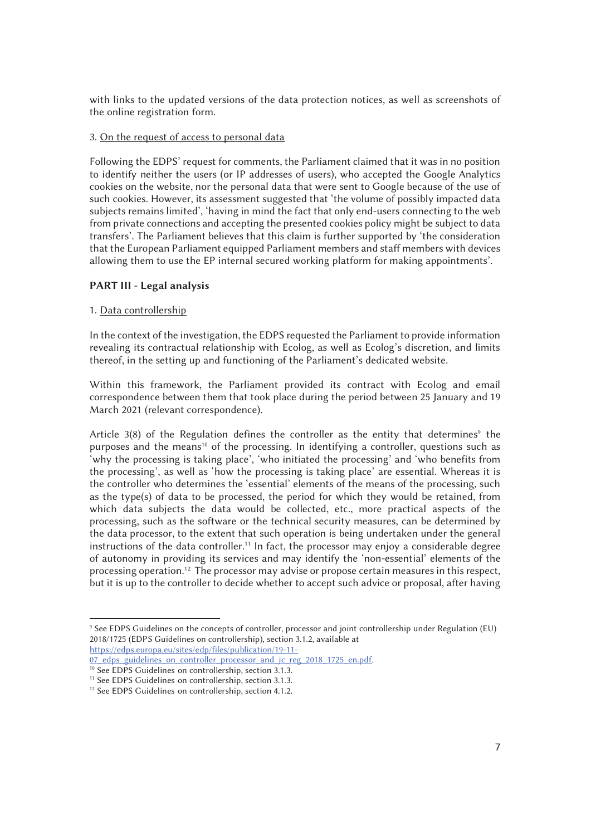with links to the updated versions of the data protection notices, as well as screenshots of the online registration form.

## 3. On the request of access to personal data

Following the EDPS' request for comments, the Parliament claimed that it was in no position to identify neither the users (or IP addresses of users), who accepted the Google Analytics cookies on the website, nor the personal data that were sent to Google because of the use of such cookies. However, its assessment suggested that 'the volume of possibly impacted data subjects remains limited', 'having in mind the fact that only end-users connecting to the web from private connections and accepting the presented cookies policy might be subject to data transfers'. The Parliament believes that this claim is further supported by 'the consideration that the European Parliament equipped Parliament members and staff members with devices allowing them to use the EP internal secured working platform for making appointments'.

## PART III - Legal analysis

## 1. Data controllership

In the context of the investigation, the EDPS requested the Parliament to provide information revealing its contractual relationship with Ecolog, as well as Ecolog's discretion, and limits thereof, in the setting up and functioning of the Parliament's dedicated website.

Within this framework, the Parliament provided its contract with Ecolog and email correspondence between them that took place during the period between 25 January and 19 March 2021 (relevant correspondence).

Article  $3(8)$  of the Regulation defines the controller as the entity that determines<sup>9</sup> the purposes and the means<sup>10</sup> of the processing. In identifying a controller, questions such as 'why the processing is taking place', 'who initiated the processing' and 'who benefits from the processing', as well as 'how the processing is taking place' are essential. Whereas it is the controller who determines the 'essential' elements of the means of the processing, such as the type(s) of data to be processed, the period for which they would be retained, from which data subjects the data would be collected, etc., more practical aspects of the processing, such as the software or the technical security measures, can be determined by the data processor, to the extent that such operation is being undertaken under the general instructions of the data controller.<sup>11</sup> In fact, the processor may enjoy a considerable degree of autonomy in providing its services and may identify the 'non-essential' elements of the processing operation.12 The processor may advise or propose certain measures in this respect, but it is up to the controller to decide whether to accept such advice or proposal, after having

 $\overline{a}$ 9 See EDPS Guidelines on the concepts of controller, processor and joint controllership under Regulation (EU) 2018/1725 (EDPS Guidelines on controllership), section 3.1.2, available at

https://edps.europa.eu/sites/edp/files/publication/19-11-<br>07 edps guidelines on controller processor and jc reg 2018 1725 en.pdf.

<sup>&</sup>lt;sup>10</sup> See EDPS Guidelines on controllership, section 3.1.3.<br><sup>11</sup> See EDPS Guidelines on controllership, section 3.1.3.<br><sup>12</sup> See EDPS Guidelines on controllership, section 4.1.2.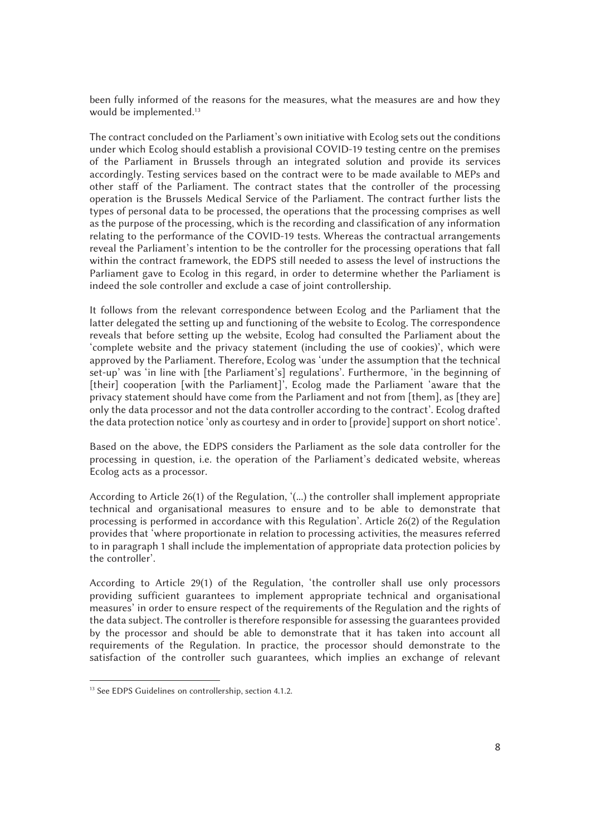been fully informed of the reasons for the measures, what the measures are and how they would be implemented.<sup>13</sup>

The contract concluded on the Parliament's own initiative with Ecolog sets out the conditions under which Ecolog should establish a provisional COVID-19 testing centre on the premises of the Parliament in Brussels through an integrated solution and provide its services accordingly. Testing services based on the contract were to be made available to MEPs and other staff of the Parliament. The contract states that the controller of the processing operation is the Brussels Medical Service of the Parliament. The contract further lists the types of personal data to be processed, the operations that the processing comprises as well as the purpose of the processing, which is the recording and classification of any information relating to the performance of the COVID-19 tests. Whereas the contractual arrangements reveal the Parliament's intention to be the controller for the processing operations that fall within the contract framework, the EDPS still needed to assess the level of instructions the Parliament gave to Ecolog in this regard, in order to determine whether the Parliament is indeed the sole controller and exclude a case of joint controllership.

It follows from the relevant correspondence between Ecolog and the Parliament that the latter delegated the setting up and functioning of the website to Ecolog. The correspondence reveals that before setting up the website, Ecolog had consulted the Parliament about the 'complete website and the privacy statement (including the use of cookies)', which were approved by the Parliament. Therefore, Ecolog was 'under the assumption that the technical set-up' was 'in line with [the Parliament's] regulations'. Furthermore, 'in the beginning of [their] cooperation [with the Parliament]', Ecolog made the Parliament 'aware that the privacy statement should have come from the Parliament and not from [them], as [they are] only the data processor and not the data controller according to the contract'. Ecolog drafted the data protection notice 'only as courtesy and in order to [provide] support on short notice'.

Based on the above, the EDPS considers the Parliament as the sole data controller for the processing in question, i.e. the operation of the Parliament's dedicated website, whereas Ecolog acts as a processor.

According to Article 26(1) of the Regulation, '(...) the controller shall implement appropriate technical and organisational measures to ensure and to be able to demonstrate that processing is performed in accordance with this Regulation'. Article 26(2) of the Regulation provides that 'where proportionate in relation to processing activities, the measures referred to in paragraph 1 shall include the implementation of appropriate data protection policies by the controller'.

According to Article 29(1) of the Regulation, 'the controller shall use only processors providing sufficient guarantees to implement appropriate technical and organisational measures' in order to ensure respect of the requirements of the Regulation and the rights of the data subject. The controller is therefore responsible for assessing the guarantees provided by the processor and should be able to demonstrate that it has taken into account all requirements of the Regulation. In practice, the processor should demonstrate to the satisfaction of the controller such guarantees, which implies an exchange of relevant

<sup>&</sup>lt;sup>13</sup> See EDPS Guidelines on controllership, section 4.1.2.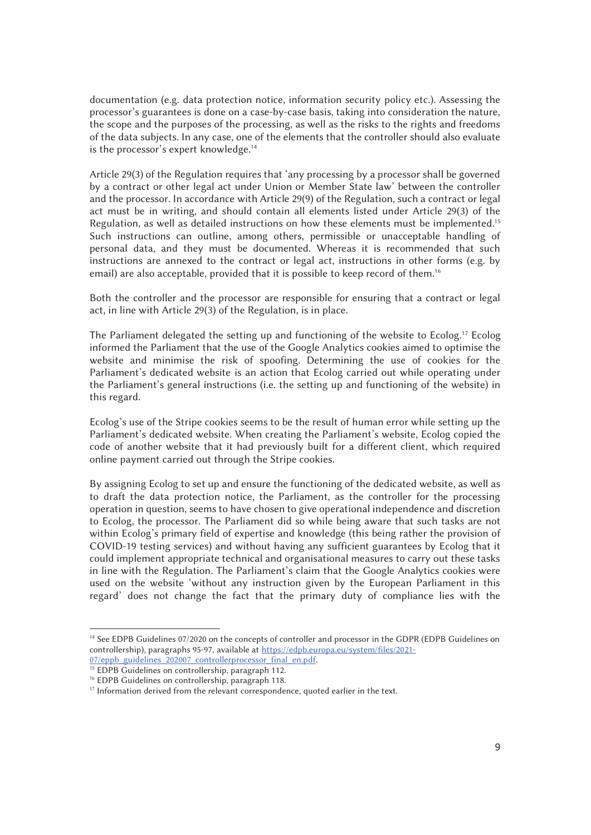documentation (e.g. data protection notice, information security policy etc.). Assessing the processor's guarantees is done on a case-by-case basis, taking into consideration the nature, the scope and the purposes of the processing, as well as the risks to the rights and freedoms of the data subjects. In any case, one of the elements that the controller should also evaluate is the processor's expert knowledge.<sup>14</sup>

Article 29(3) of the Regulation requires that 'any processing by a processor shall be governed by a contract or other legal act under Union or Member State law' between the controller and the processor. In accordance with Article 29(9) of the Regulation, such a contract or legal act must be in writing, and should contain all elements listed under Article 29(3) of the Regulation, as well as detailed instructions on how these elements must be implemented.<sup>15</sup> Such instructions can outline, among others, permissible or unacceptable handling of personal data, and they must be documented. Whereas it is recommended that such instructions are annexed to the contract or legal act, instructions in other forms (e.g. by email) are also acceptable, provided that it is possible to keep record of them.<sup>16</sup>

Both the controller and the processor are responsible for ensuring that a contract or legal act, in line with Article 29(3) of the Regulation, is in place.

The Parliament delegated the setting up and functioning of the website to Ecolog.<sup>17</sup> Ecolog informed the Parliament that the use of the Google Analytics cookies aimed to optimise the website and minimise the risk of spoofing. Determining the use of cookies for the Parliament's dedicated website is an action that Ecolog carried out while operating under the Parliament's general instructions (i.e. the setting up and functioning of the website) in this regard.

Ecolog's use of the Stripe cookies seems to be the result of human error while setting up the Parliament's dedicated website. When creating the Parliament's website, Ecolog copied the code of another website that it had previously built for a different client, which required online payment carried out through the Stripe cookies.

By assigning Ecolog to set up and ensure the functioning of the dedicated website, as well as to draft the data protection notice, the Parliament, as the controller for the processing operation in question, seems to have chosen to give operational independence and discretion to Ecolog, the processor. The Parliament did so while being aware that such tasks are not within Ecolog's primary field of expertise and knowledge (this being rather the provision of COVID-19 testing services) and without having any sufficient guarantees by Ecolog that it could implement appropriate technical and organisational measures to carry out these tasks in line with the Regulation. The Parliament's claim that the Google Analytics cookies were used on the website 'without any instruction given by the European Parliament in this regard' does not change the fact that the primary duty of compliance lies with the

j

<sup>&</sup>lt;sup>14</sup> See EDPB Guidelines 07/2020 on the concepts of controller and processor in the GDPR (EDPB Guidelines on controllership), paragraphs 95-97, available at https://edpb.europa.eu/system/files/2021-<br>07/eppb\_guidelines\_202007\_controllerprocessor\_final\_en.pdf.

<sup>&</sup>lt;sup>15</sup> EDPB Guidelines on controllership, paragraph 112.

<sup>&</sup>lt;sup>16</sup> EDPB Guidelines on controllership, paragraph 118.

<sup>&</sup>lt;sup>17</sup> Information derived from the relevant correspondence, quoted earlier in the text.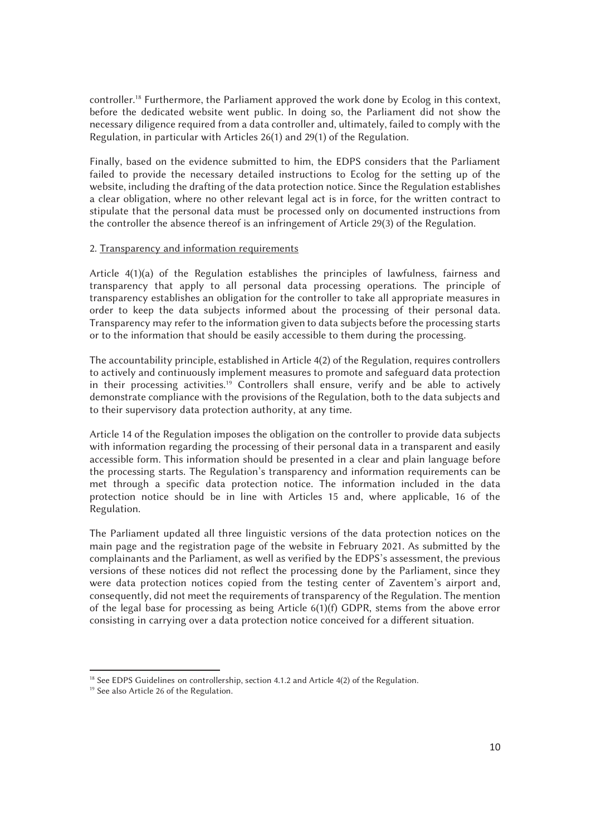controller.18 Furthermore, the Parliament approved the work done by Ecolog in this context, before the dedicated website went public. In doing so, the Parliament did not show the necessary diligence required from a data controller and, ultimately, failed to comply with the Regulation, in particular with Articles 26(1) and 29(1) of the Regulation.

Finally, based on the evidence submitted to him, the EDPS considers that the Parliament failed to provide the necessary detailed instructions to Ecolog for the setting up of the website, including the drafting of the data protection notice. Since the Regulation establishes a clear obligation, where no other relevant legal act is in force, for the written contract to stipulate that the personal data must be processed only on documented instructions from the controller the absence thereof is an infringement of Article 29(3) of the Regulation.

# 2. Transparency and information requirements

Article 4(1)(a) of the Regulation establishes the principles of lawfulness, fairness and transparency that apply to all personal data processing operations. The principle of transparency establishes an obligation for the controller to take all appropriate measures in order to keep the data subjects informed about the processing of their personal data. Transparency may refer to the information given to data subjects before the processing starts or to the information that should be easily accessible to them during the processing.

The accountability principle, established in Article 4(2) of the Regulation, requires controllers to actively and continuously implement measures to promote and safeguard data protection in their processing activities.<sup>19</sup> Controllers shall ensure, verify and be able to actively demonstrate compliance with the provisions of the Regulation, both to the data subjects and to their supervisory data protection authority, at any time.

Article 14 of the Regulation imposes the obligation on the controller to provide data subjects with information regarding the processing of their personal data in a transparent and easily accessible form. This information should be presented in a clear and plain language before the processing starts. The Regulation's transparency and information requirements can be met through a specific data protection notice. The information included in the data protection notice should be in line with Articles 15 and, where applicable, 16 of the Regulation.

The Parliament updated all three linguistic versions of the data protection notices on the main page and the registration page of the website in February 2021. As submitted by the complainants and the Parliament, as well as verified by the EDPS's assessment, the previous versions of these notices did not reflect the processing done by the Parliament, since they were data protection notices copied from the testing center of Zaventem's airport and, consequently, did not meet the requirements of transparency of the Regulation. The mention of the legal base for processing as being Article 6(1)(f) GDPR, stems from the above error consisting in carrying over a data protection notice conceived for a different situation.

 $\overline{a}$ <sup>18</sup> See EDPS Guidelines on controllership, section 4.1.2 and Article 4(2) of the Regulation. <sup>19</sup> See also Article 26 of the Regulation.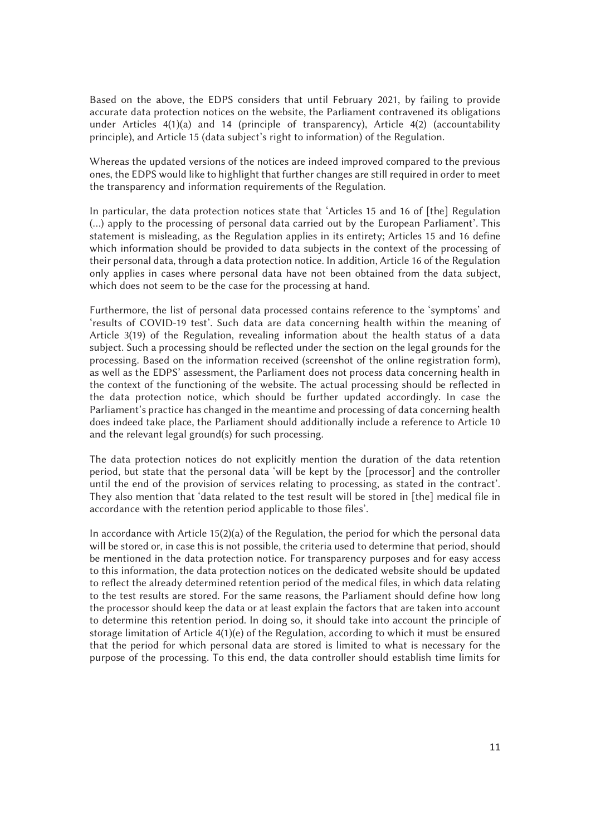Based on the above, the EDPS considers that until February 2021, by failing to provide accurate data protection notices on the website, the Parliament contravened its obligations under Articles 4(1)(a) and 14 (principle of transparency), Article 4(2) (accountability principle), and Article 15 (data subject's right to information) of the Regulation.

Whereas the updated versions of the notices are indeed improved compared to the previous ones, the EDPS would like to highlight that further changes are still required in order to meet the transparency and information requirements of the Regulation.

In particular, the data protection notices state that 'Articles 15 and 16 of [the] Regulation (…) apply to the processing of personal data carried out by the European Parliament'. This statement is misleading, as the Regulation applies in its entirety; Articles 15 and 16 define which information should be provided to data subjects in the context of the processing of their personal data, through a data protection notice. In addition, Article 16 of the Regulation only applies in cases where personal data have not been obtained from the data subject, which does not seem to be the case for the processing at hand.

Furthermore, the list of personal data processed contains reference to the 'symptoms' and 'results of COVID-19 test'. Such data are data concerning health within the meaning of Article 3(19) of the Regulation, revealing information about the health status of a data subject. Such a processing should be reflected under the section on the legal grounds for the processing. Based on the information received (screenshot of the online registration form), as well as the EDPS' assessment, the Parliament does not process data concerning health in the context of the functioning of the website. The actual processing should be reflected in the data protection notice, which should be further updated accordingly. In case the Parliament's practice has changed in the meantime and processing of data concerning health does indeed take place, the Parliament should additionally include a reference to Article 10 and the relevant legal ground(s) for such processing.

The data protection notices do not explicitly mention the duration of the data retention period, but state that the personal data 'will be kept by the [processor] and the controller until the end of the provision of services relating to processing, as stated in the contract'. They also mention that 'data related to the test result will be stored in [the] medical file in accordance with the retention period applicable to those files'.

In accordance with Article  $15(2)(a)$  of the Regulation, the period for which the personal data will be stored or, in case this is not possible, the criteria used to determine that period, should be mentioned in the data protection notice. For transparency purposes and for easy access to this information, the data protection notices on the dedicated website should be updated to reflect the already determined retention period of the medical files, in which data relating to the test results are stored. For the same reasons, the Parliament should define how long the processor should keep the data or at least explain the factors that are taken into account to determine this retention period. In doing so, it should take into account the principle of storage limitation of Article 4(1)(e) of the Regulation, according to which it must be ensured that the period for which personal data are stored is limited to what is necessary for the purpose of the processing. To this end, the data controller should establish time limits for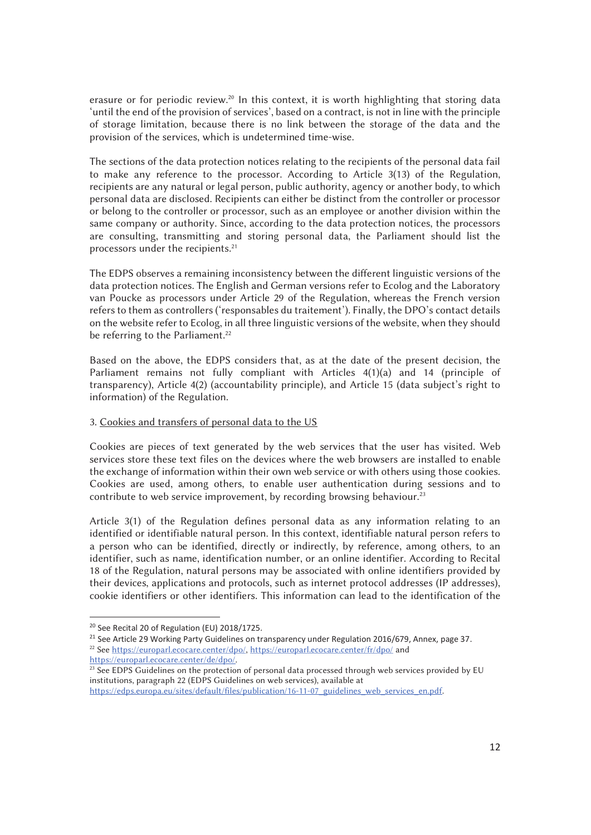erasure or for periodic review.<sup>20</sup> In this context, it is worth highlighting that storing data 'until the end of the provision of services', based on a contract, is not in line with the principle of storage limitation, because there is no link between the storage of the data and the provision of the services, which is undetermined time-wise.

The sections of the data protection notices relating to the recipients of the personal data fail to make any reference to the processor. According to Article 3(13) of the Regulation, recipients are any natural or legal person, public authority, agency or another body, to which personal data are disclosed. Recipients can either be distinct from the controller or processor or belong to the controller or processor, such as an employee or another division within the same company or authority. Since, according to the data protection notices, the processors are consulting, transmitting and storing personal data, the Parliament should list the processors under the recipients.<sup>21</sup>

The EDPS observes a remaining inconsistency between the different linguistic versions of the data protection notices. The English and German versions refer to Ecolog and the Laboratory van Poucke as processors under Article 29 of the Regulation, whereas the French version refers to them as controllers ('responsables du traitement'). Finally, the DPO's contact details on the website refer to Ecolog, in all three linguistic versions of the website, when they should be referring to the Parliament.<sup>22</sup>

Based on the above, the EDPS considers that, as at the date of the present decision, the Parliament remains not fully compliant with Articles 4(1)(a) and 14 (principle of transparency), Article 4(2) (accountability principle), and Article 15 (data subject's right to information) of the Regulation.

### 3. Cookies and transfers of personal data to the US

Cookies are pieces of text generated by the web services that the user has visited. Web services store these text files on the devices where the web browsers are installed to enable the exchange of information within their own web service or with others using those cookies. Cookies are used, among others, to enable user authentication during sessions and to contribute to web service improvement, by recording browsing behaviour.<sup>23</sup>

Article 3(1) of the Regulation defines personal data as any information relating to an identified or identifiable natural person. In this context, identifiable natural person refers to a person who can be identified, directly or indirectly, by reference, among others, to an identifier, such as name, identification number, or an online identifier. According to Recital 18 of the Regulation, natural persons may be associated with online identifiers provided by their devices, applications and protocols, such as internet protocol addresses (IP addresses), cookie identifiers or other identifiers. This information can lead to the identification of the

<sup>20</sup> See Recital 20 of Regulation (EU) 2018/1725.

<sup>&</sup>lt;sup>21</sup> See Article 29 Working Party Guidelines on transparency under Regulation 2016/679, Annex, page 37.

<sup>&</sup>lt;sup>22</sup> See https://europarl.ecocare.center/dpo/, https://europarl.ecocare.center/fr/dpo/ and https://europarl.ecocare.center/de/dpo/.

 $\frac{1}{23}$  See EDPS Guidelines on the protection of personal data processed through web services provided by EU institutions, paragraph 22 (EDPS Guidelines on web services), available at

https://edps.europa.eu/sites/default/files/publication/16-11-07\_guidelines\_web\_services\_en.pdf.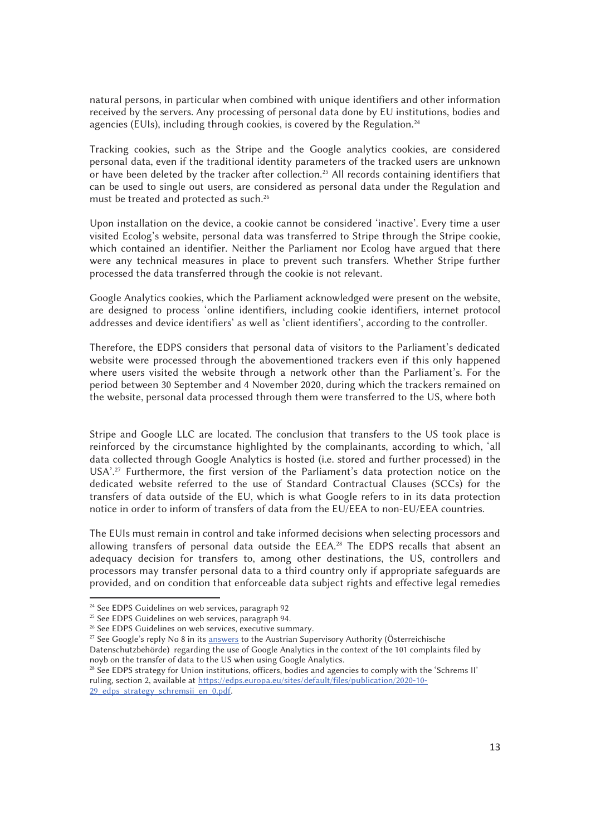natural persons, in particular when combined with unique identifiers and other information received by the servers. Any processing of personal data done by EU institutions, bodies and agencies (EUIs), including through cookies, is covered by the Regulation.<sup>24</sup>

Tracking cookies, such as the Stripe and the Google analytics cookies, are considered personal data, even if the traditional identity parameters of the tracked users are unknown or have been deleted by the tracker after collection.<sup>25</sup> All records containing identifiers that can be used to single out users, are considered as personal data under the Regulation and must be treated and protected as such.26

Upon installation on the device, a cookie cannot be considered 'inactive'. Every time a user visited Ecolog's website, personal data was transferred to Stripe through the Stripe cookie, which contained an identifier. Neither the Parliament nor Ecolog have argued that there were any technical measures in place to prevent such transfers. Whether Stripe further processed the data transferred through the cookie is not relevant.

Google Analytics cookies, which the Parliament acknowledged were present on the website, are designed to process 'online identifiers, including cookie identifiers, internet protocol addresses and device identifiers' as well as 'client identifiers', according to the controller.

Therefore, the EDPS considers that personal data of visitors to the Parliament's dedicated website were processed through the abovementioned trackers even if this only happened where users visited the website through a network other than the Parliament's. For the period between 30 September and 4 November 2020, during which the trackers remained on the website, personal data processed through them were transferred to the US, where both

Stripe and Google LLC are located. The conclusion that transfers to the US took place is reinforced by the circumstance highlighted by the complainants, according to which, 'all data collected through Google Analytics is hosted (i.e. stored and further processed) in the USA'.<sup>27</sup> Furthermore, the first version of the Parliament's data protection notice on the dedicated website referred to the use of Standard Contractual Clauses (SCCs) for the transfers of data outside of the EU, which is what Google refers to in its data protection notice in order to inform of transfers of data from the EU/EEA to non-EU/EEA countries.

The EUIs must remain in control and take informed decisions when selecting processors and allowing transfers of personal data outside the EEA.<sup>28</sup> The EDPS recalls that absent an adequacy decision for transfers to, among other destinations, the US, controllers and processors may transfer personal data to a third country only if appropriate safeguards are provided, and on condition that enforceable data subject rights and effective legal remedies

j

<sup>&</sup>lt;sup>24</sup> See EDPS Guidelines on web services, paragraph 92

<sup>&</sup>lt;sup>25</sup> See EDPS Guidelines on web services, paragraph 94.

<sup>&</sup>lt;sup>26</sup> See EDPS Guidelines on web services, executive summary.

<sup>&</sup>lt;sup>27</sup> See Google's reply No 8 in its answers to the Austrian Supervisory Authority (Österreichische Datenschutzbehörde) regarding the use of Google Analytics in the context of the 101 complaints filed by

noyb on the transfer of data to the US when using Google Analytics.

<sup>28</sup> See EDPS strategy for Union institutions, officers, bodies and agencies to comply with the 'Schrems II' ruling, section 2, available at https://edps.europa.eu/sites/default/files/publication/2020-10- 29 edps strategy schremsii en 0.pdf.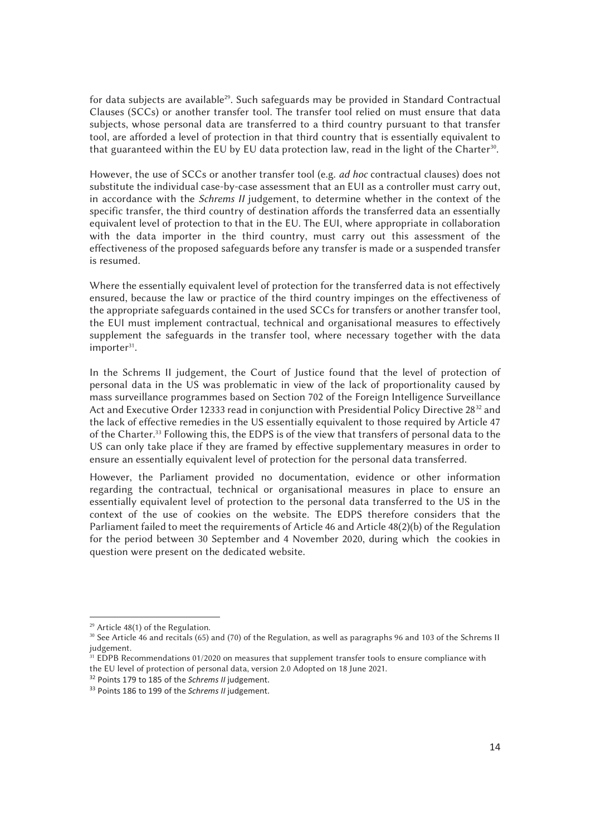for data subjects are available<sup>29</sup>. Such safeguards may be provided in Standard Contractual Clauses (SCCs) or another transfer tool. The transfer tool relied on must ensure that data subjects, whose personal data are transferred to a third country pursuant to that transfer tool, are afforded a level of protection in that third country that is essentially equivalent to that guaranteed within the EU by EU data protection law, read in the light of the Charter<sup>30</sup>.

However, the use of SCCs or another transfer tool (e.g. *ad hoc* contractual clauses) does not substitute the individual case-by-case assessment that an EUI as a controller must carry out, in accordance with the *Schrems II* judgement, to determine whether in the context of the specific transfer, the third country of destination affords the transferred data an essentially equivalent level of protection to that in the EU. The EUI, where appropriate in collaboration with the data importer in the third country, must carry out this assessment of the effectiveness of the proposed safeguards before any transfer is made or a suspended transfer is resumed.

Where the essentially equivalent level of protection for the transferred data is not effectively ensured, because the law or practice of the third country impinges on the effectiveness of the appropriate safeguards contained in the used SCCs for transfers or another transfer tool, the EUI must implement contractual, technical and organisational measures to effectively supplement the safeguards in the transfer tool, where necessary together with the data importer<sup>31</sup>.

In the Schrems II judgement, the Court of Justice found that the level of protection of personal data in the US was problematic in view of the lack of proportionality caused by mass surveillance programmes based on Section 702 of the Foreign Intelligence Surveillance Act and Executive Order 12333 read in conjunction with Presidential Policy Directive 28<sup>32</sup> and the lack of effective remedies in the US essentially equivalent to those required by Article 47 of the Charter.33 Following this, the EDPS is of the view that transfers of personal data to the US can only take place if they are framed by effective supplementary measures in order to ensure an essentially equivalent level of protection for the personal data transferred.

However, the Parliament provided no documentation, evidence or other information regarding the contractual, technical or organisational measures in place to ensure an essentially equivalent level of protection to the personal data transferred to the US in the context of the use of cookies on the website. The EDPS therefore considers that the Parliament failed to meet the requirements of Article 46 and Article 48(2)(b) of the Regulation for the period between 30 September and 4 November 2020, during which the cookies in question were present on the dedicated website.

 $29$  Article 48(1) of the Regulation.

<sup>30</sup> See Article 46 and recitals (65) and (70) of the Regulation, as well as paragraphs 96 and 103 of the Schrems II judgement.

 $\frac{31}{2}$  EDPB Recommendations 01/2020 on measures that supplement transfer tools to ensure compliance with the EU level of protection of personal data, version 2.0 Adopted on 18 June 2021.<br><sup>32</sup> Points 179 to 185 of the *Schrems II* iudgement.

<sup>&</sup>lt;sup>33</sup> Points 186 to 199 of the *Schrems II* judgement.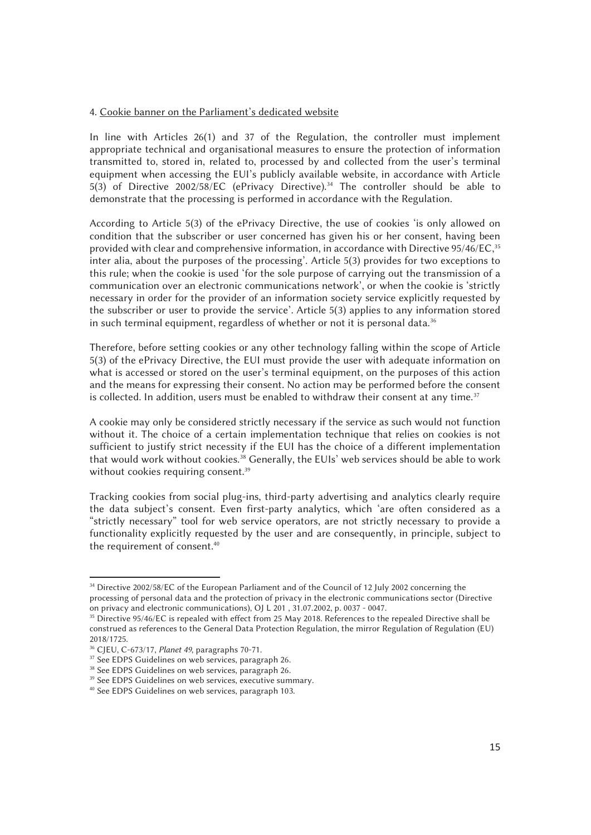## 4. Cookie banner on the Parliament's dedicated website

In line with Articles 26(1) and 37 of the Regulation, the controller must implement appropriate technical and organisational measures to ensure the protection of information transmitted to, stored in, related to, processed by and collected from the user's terminal equipment when accessing the EUI's publicly available website, in accordance with Article 5(3) of Directive 2002/58/EC (ePrivacy Directive).34 The controller should be able to demonstrate that the processing is performed in accordance with the Regulation.

According to Article 5(3) of the ePrivacy Directive, the use of cookies 'is only allowed on condition that the subscriber or user concerned has given his or her consent, having been provided with clear and comprehensive information, in accordance with Directive 95/46/EC,<sup>35</sup> inter alia, about the purposes of the processing'. Article 5(3) provides for two exceptions to this rule; when the cookie is used 'for the sole purpose of carrying out the transmission of a communication over an electronic communications network', or when the cookie is 'strictly necessary in order for the provider of an information society service explicitly requested by the subscriber or user to provide the service'. Article 5(3) applies to any information stored in such terminal equipment, regardless of whether or not it is personal data.<sup>36</sup>

Therefore, before setting cookies or any other technology falling within the scope of Article 5(3) of the ePrivacy Directive, the EUI must provide the user with adequate information on what is accessed or stored on the user's terminal equipment, on the purposes of this action and the means for expressing their consent. No action may be performed before the consent is collected. In addition, users must be enabled to withdraw their consent at any time. $37$ 

A cookie may only be considered strictly necessary if the service as such would not function without it. The choice of a certain implementation technique that relies on cookies is not sufficient to justify strict necessity if the EUI has the choice of a different implementation that would work without cookies.<sup>38</sup> Generally, the EUIs' web services should be able to work without cookies requiring consent.<sup>39</sup>

Tracking cookies from social plug-ins, third-party advertising and analytics clearly require the data subject's consent. Even first-party analytics, which 'are often considered as a "strictly necessary" tool for web service operators, are not strictly necessary to provide a functionality explicitly requested by the user and are consequently, in principle, subject to the requirement of consent.40

 $\overline{a}$ 34 Directive 2002/58/EC of the European Parliament and of the Council of 12 July 2002 concerning the processing of personal data and the protection of privacy in the electronic communications sector (Directive on privacy and electronic communications), OJ L 201 , 31.07.2002, p. 0037 - 0047.

<sup>&</sup>lt;sup>35</sup> Directive 95/46/EC is repealed with effect from 25 May 2018. References to the repealed Directive shall be construed as references to the General Data Protection Regulation, the mirror Regulation of Regulation (EU) 2018/1725.<br><sup>36</sup> CIEU, C-673/17, *Planet 49*, paragraphs 70-71.

<sup>&</sup>lt;sup>37</sup> See EDPS Guidelines on web services, paragraph 26.

<sup>&</sup>lt;sup>38</sup> See EDPS Guidelines on web services, paragraph 26.

<sup>&</sup>lt;sup>39</sup> See EDPS Guidelines on web services, executive summary.

<sup>40</sup> See EDPS Guidelines on web services, paragraph 103.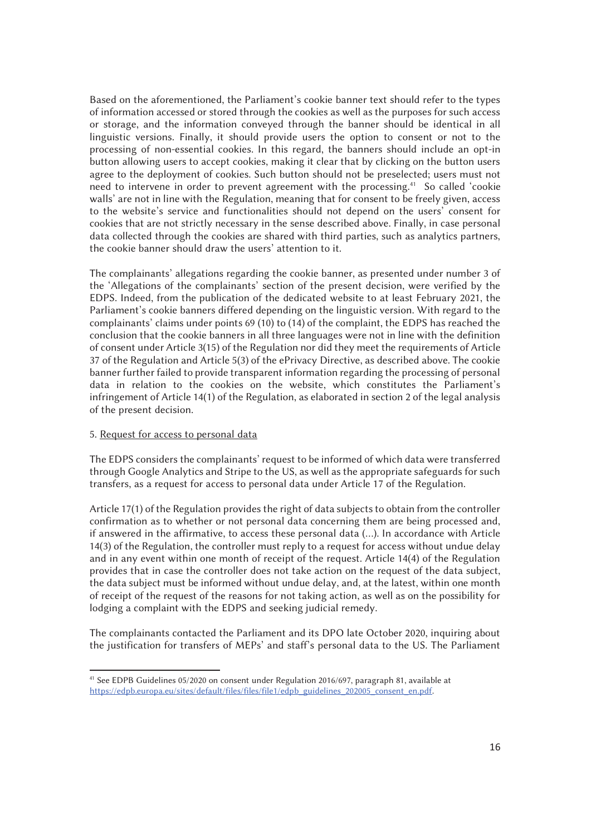Based on the aforementioned, the Parliament's cookie banner text should refer to the types of information accessed or stored through the cookies as well as the purposes for such access or storage, and the information conveyed through the banner should be identical in all linguistic versions. Finally, it should provide users the option to consent or not to the processing of non-essential cookies. In this regard, the banners should include an opt-in button allowing users to accept cookies, making it clear that by clicking on the button users agree to the deployment of cookies. Such button should not be preselected; users must not need to intervene in order to prevent agreement with the processing.41 So called 'cookie walls' are not in line with the Regulation, meaning that for consent to be freely given, access to the website's service and functionalities should not depend on the users' consent for cookies that are not strictly necessary in the sense described above. Finally, in case personal data collected through the cookies are shared with third parties, such as analytics partners, the cookie banner should draw the users' attention to it.

The complainants' allegations regarding the cookie banner, as presented under number 3 of the 'Allegations of the complainants' section of the present decision, were verified by the EDPS. Indeed, from the publication of the dedicated website to at least February 2021, the Parliament's cookie banners differed depending on the linguistic version. With regard to the complainants' claims under points 69 (10) to (14) of the complaint, the EDPS has reached the conclusion that the cookie banners in all three languages were not in line with the definition of consent under Article 3(15) of the Regulation nor did they meet the requirements of Article 37 of the Regulation and Article 5(3) of the ePrivacy Directive, as described above. The cookie banner further failed to provide transparent information regarding the processing of personal data in relation to the cookies on the website, which constitutes the Parliament's infringement of Article 14(1) of the Regulation, as elaborated in section 2 of the legal analysis of the present decision.

## 5. Request for access to personal data

 $\overline{a}$ 

The EDPS considers the complainants' request to be informed of which data were transferred through Google Analytics and Stripe to the US, as well as the appropriate safeguards for such transfers, as a request for access to personal data under Article 17 of the Regulation.

Article 17(1) of the Regulation provides the right of data subjects to obtain from the controller confirmation as to whether or not personal data concerning them are being processed and, if answered in the affirmative, to access these personal data (…). In accordance with Article 14(3) of the Regulation, the controller must reply to a request for access without undue delay and in any event within one month of receipt of the request. Article 14(4) of the Regulation provides that in case the controller does not take action on the request of the data subject, the data subject must be informed without undue delay, and, at the latest, within one month of receipt of the request of the reasons for not taking action, as well as on the possibility for lodging a complaint with the EDPS and seeking judicial remedy.

The complainants contacted the Parliament and its DPO late October 2020, inquiring about the justification for transfers of MEPs' and staff's personal data to the US. The Parliament

<sup>41</sup> See EDPB Guidelines 05/2020 on consent under Regulation 2016/697, paragraph 81, available at https://edpb.europa.eu/sites/default/files/files/file1/edpb\_guidelines\_202005\_consent\_en.pdf.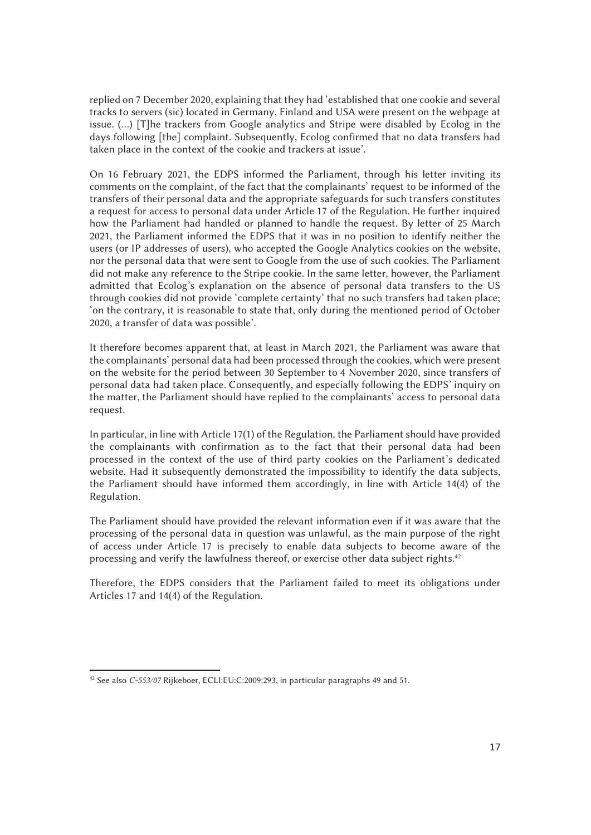replied on 7 December 2020, explaining that they had 'established that one cookie and several tracks to servers (sic) located in Germany, Finland and USA were present on the webpage at issue. (…) [T]he trackers from Google analytics and Stripe were disabled by Ecolog in the days following [the] complaint. Subsequently, Ecolog confirmed that no data transfers had taken place in the context of the cookie and trackers at issue'.

On 16 February 2021, the EDPS informed the Parliament, through his letter inviting its comments on the complaint, of the fact that the complainants' request to be informed of the transfers of their personal data and the appropriate safeguards for such transfers constitutes a request for access to personal data under Article 17 of the Regulation. He further inquired how the Parliament had handled or planned to handle the request. By letter of 25 March 2021, the Parliament informed the EDPS that it was in no position to identify neither the users (or IP addresses of users), who accepted the Google Analytics cookies on the website, nor the personal data that were sent to Google from the use of such cookies. The Parliament did not make any reference to the Stripe cookie. In the same letter, however, the Parliament admitted that Ecolog's explanation on the absence of personal data transfers to the US through cookies did not provide 'complete certainty' that no such transfers had taken place; 'on the contrary, it is reasonable to state that, only during the mentioned period of October 2020, a transfer of data was possible'.

It therefore becomes apparent that, at least in March 2021, the Parliament was aware that the complainants' personal data had been processed through the cookies, which were present on the website for the period between 30 September to 4 November 2020, since transfers of personal data had taken place. Consequently, and especially following the EDPS' inquiry on the matter, the Parliament should have replied to the complainants' access to personal data request.

In particular, in line with Article 17(1) of the Regulation, the Parliament should have provided the complainants with confirmation as to the fact that their personal data had been processed in the context of the use of third party cookies on the Parliament's dedicated website. Had it subsequently demonstrated the impossibility to identify the data subjects, the Parliament should have informed them accordingly, in line with Article 14(4) of the Regulation.

The Parliament should have provided the relevant information even if it was aware that the processing of the personal data in question was unlawful, as the main purpose of the right of access under Article 17 is precisely to enable data subjects to become aware of the processing and verify the lawfulness thereof, or exercise other data subject rights.<sup>42</sup>

Therefore, the EDPS considers that the Parliament failed to meet its obligations under Articles 17 and 14(4) of the Regulation.

<sup>42</sup> See also *C-553/07* Rijkeboer, ECLI:EU:C:2009:293, in particular paragraphs 49 and 51.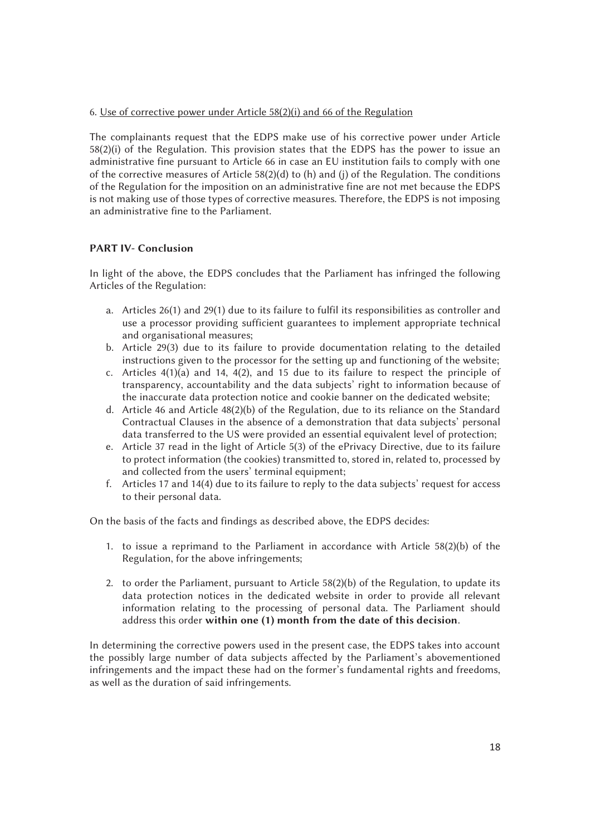## 6. Use of corrective power under Article 58(2)(i) and 66 of the Regulation

The complainants request that the EDPS make use of his corrective power under Article 58(2)(i) of the Regulation. This provision states that the EDPS has the power to issue an administrative fine pursuant to Article 66 in case an EU institution fails to comply with one of the corrective measures of Article 58(2)(d) to (h) and (j) of the Regulation. The conditions of the Regulation for the imposition on an administrative fine are not met because the EDPS is not making use of those types of corrective measures. Therefore, the EDPS is not imposing an administrative fine to the Parliament.

# PART IV- Conclusion

In light of the above, the EDPS concludes that the Parliament has infringed the following Articles of the Regulation:

- a. Articles 26(1) and 29(1) due to its failure to fulfil its responsibilities as controller and use a processor providing sufficient guarantees to implement appropriate technical and organisational measures;
- b. Article 29(3) due to its failure to provide documentation relating to the detailed instructions given to the processor for the setting up and functioning of the website;
- c. Articles  $4(1)(a)$  and 14,  $4(2)$ , and 15 due to its failure to respect the principle of transparency, accountability and the data subjects' right to information because of the inaccurate data protection notice and cookie banner on the dedicated website;
- d. Article 46 and Article 48(2)(b) of the Regulation, due to its reliance on the Standard Contractual Clauses in the absence of a demonstration that data subjects' personal data transferred to the US were provided an essential equivalent level of protection;
- e. Article 37 read in the light of Article 5(3) of the ePrivacy Directive, due to its failure to protect information (the cookies) transmitted to, stored in, related to, processed by and collected from the users' terminal equipment;
- f. Articles 17 and 14(4) due to its failure to reply to the data subjects' request for access to their personal data.

On the basis of the facts and findings as described above, the EDPS decides:

- 1. to issue a reprimand to the Parliament in accordance with Article 58(2)(b) of the Regulation, for the above infringements;
- 2. to order the Parliament, pursuant to Article  $58(2)(b)$  of the Regulation, to update its data protection notices in the dedicated website in order to provide all relevant information relating to the processing of personal data. The Parliament should address this order within one (1) month from the date of this decision.

In determining the corrective powers used in the present case, the EDPS takes into account the possibly large number of data subjects affected by the Parliament's abovementioned infringements and the impact these had on the former's fundamental rights and freedoms, as well as the duration of said infringements.